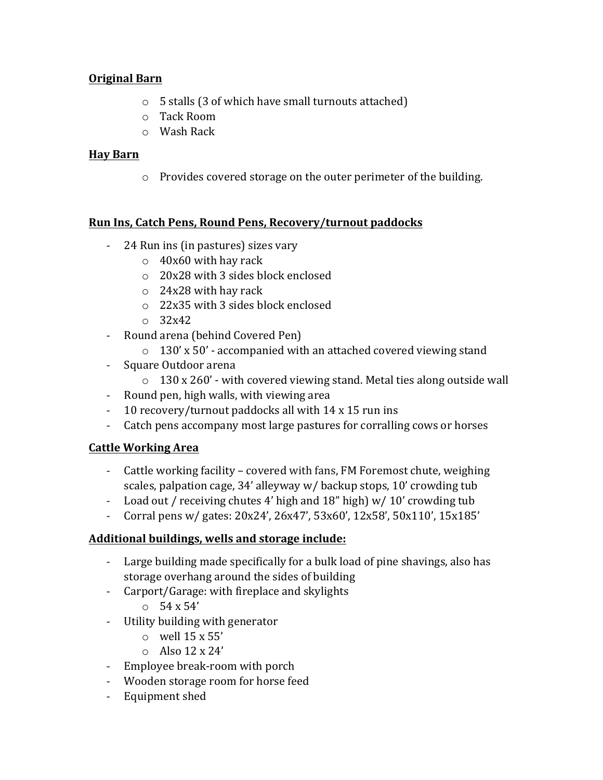# **Original Barn**

- $\circ$  5 stalls (3 of which have small turnouts attached)
- $\circ$  Tack Room
- $\circ$  Wash Rack

### **Hay Barn**

 $\circ$  Provides covered storage on the outer perimeter of the building.

#### Run Ins, Catch Pens, Round Pens, Recovery/turnout paddocks

- 24 Run ins (in pastures) sizes vary
	- $\circ$  40x60 with hay rack
	- $\circ$  20x28 with 3 sides block enclosed
	- $\circ$  24x28 with hay rack
	- $\circ$  22x35 with 3 sides block enclosed
	- $\degree$  32x42
- Round arena (behind Covered Pen)
	- $\degree$  130' x 50' accompanied with an attached covered viewing stand
- Square Outdoor arena
	- $\circ$  130 x 260' with covered viewing stand. Metal ties along outside wall
- Round pen, high walls, with viewing area
- 10 recovery/turnout paddocks all with 14 x 15 run ins
- Catch pens accompany most large pastures for corralling cows or horses

# **Cattle Working Area**

- Cattle working facility covered with fans, FM Foremost chute, weighing scales, palpation cage, 34' alleyway w/ backup stops, 10' crowding tub
- Load out / receiving chutes 4' high and  $18$ " high) w/  $10'$  crowding tub
- Corral pens w/ gates:  $20x24'$ ,  $26x47'$ ,  $53x60'$ ,  $12x58'$ ,  $50x110'$ ,  $15x185'$

# Additional buildings, wells and storage include:

- Large building made specifically for a bulk load of pine shavings, also has storage overhang around the sides of building
- Carport/Garage: with fireplace and skylights
	- $\circ$  54 x 54'
- Utility building with generator
	- $\circ$  well 15 x 55'
	- $\circ$  Also 12 x 24'
- Employee break-room with porch
- Wooden storage room for horse feed
- Equipment shed